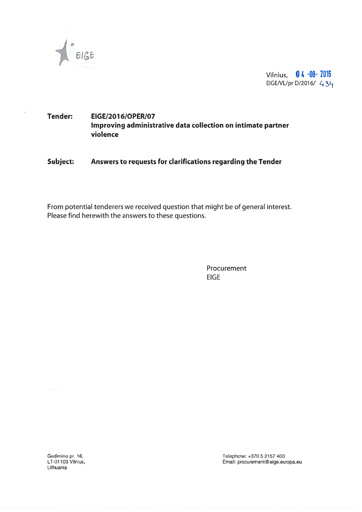

Vilnius, 04 -08- 2016 EIGE/VL/pr D/2016/ 434

# Tender: EIGE/2016/OPER/07 Improving administrative data collection on intimate partner violence

Subject: Answers to requests for clarifications regarding the Tender

From potential tenderers we received question that might be of general interest. Please find herewith the answers to these questions.

> Procurement **EIGE**

Lithuania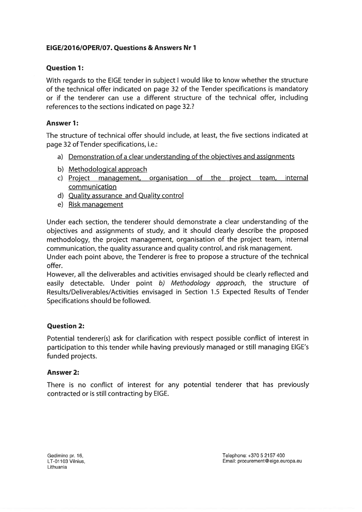## EIGE/2076/OPER/07. Questions & Answers Nr 7

## **Ouestion 1:**

With regards to the EIGE tender in subject I would like to know whether the structure of the technical offer indicated on page 32 of the Tender specifications is mandatory or if the tenderer can use <sup>a</sup> different structure of the technical offer, including references to the sections indicated on page 32.?

## **Answer 1:**

The structure of technical offer should include, at least, the five sections indicated at page 32 of Tender specifications, i.e.:

- a) Demonstration of <sup>a</sup> clear understanding of the objectives and assignments
- b) Methodological approach
- c) Project management, organisation of the project team, internal communication
- d) Quality assurance and Quality control
- e) Risk managemen<sup>t</sup>

Under each section, the tenderer should demonstrate <sup>a</sup> clear understanding of the objectives and assignments of study, and it should clearly describe the proposed methodology, the project management, organisation of the project team, internal communication, the quality assurance and quality control, and risk management.

Under each point above, the Tenderer is free to propose a structure of the technical offer.

However, all the deliverables and activities envisaged should be clearly reflected and easily detectable. Under point b) Methodology approach, the structure of Results/Deliverables/Activities envisaged in Section 1.5 Expected Results of Tender Specifications should be followed.

## Question 2:

Potential tenderer(s) ask for clarification with respec<sup>t</sup> possible conflict of interest in participation to this tender while having previously managed or still managing EIGE's funded projects.

#### Answer 2:

Ihere is no conflict of interest for any potential tenderer that has previously contracted or is still contracting by EIGE.

Lithuania